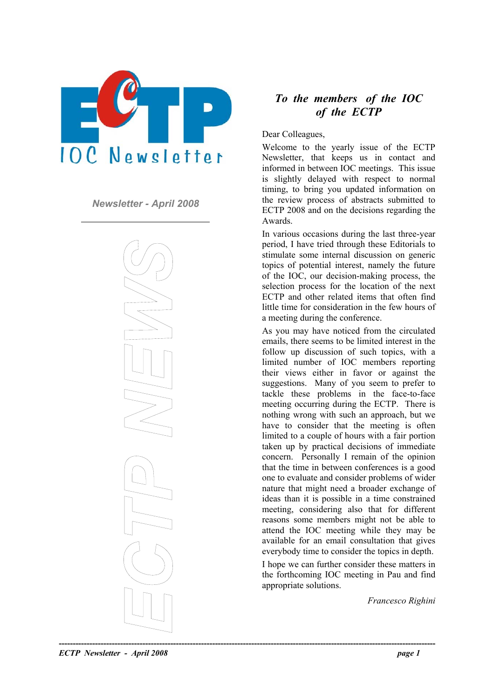

*Newsletter - April 2008* 



# *To the members of the IOC of the ECTP*

Dear Colleagues,

Welcome to the yearly issue of the ECTP Newsletter, that keeps us in contact and informed in between IOC meetings. This issue is slightly delayed with respect to normal timing, to bring you updated information on the review process of abstracts submitted to ECTP 2008 and on the decisions regarding the Awards.

In various occasions during the last three-year period, I have tried through these Editorials to stimulate some internal discussion on generic topics of potential interest, namely the future of the IOC, our decision-making process, the selection process for the location of the next ECTP and other related items that often find little time for consideration in the few hours of a meeting during the conference.

As you may have noticed from the circulated emails, there seems to be limited interest in the follow up discussion of such topics, with a limited number of IOC members reporting their views either in favor or against the suggestions. Many of you seem to prefer to tackle these problems in the face-to-face meeting occurring during the ECTP. There is nothing wrong with such an approach, but we have to consider that the meeting is often limited to a couple of hours with a fair portion taken up by practical decisions of immediate concern. Personally I remain of the opinion that the time in between conferences is a good one to evaluate and consider problems of wider nature that might need a broader exchange of ideas than it is possible in a time constrained meeting, considering also that for different reasons some members might not be able to attend the IOC meeting while they may be available for an email consultation that gives everybody time to consider the topics in depth.

I hope we can further consider these matters in the forthcoming IOC meeting in Pau and find appropriate solutions.

*Francesco Righini*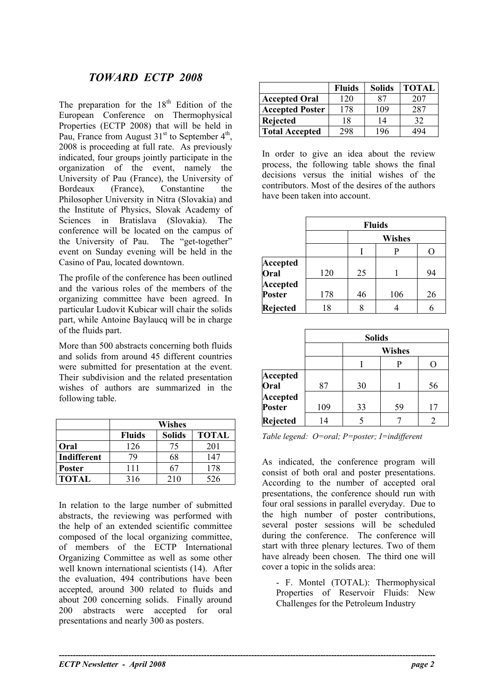# *TOWARD ECTP 2008*

The preparation for the  $18<sup>th</sup>$  Edition of the European Conference on Thermophysical Properties (ECTP 2008) that will be held in Pau, France from August  $31<sup>st</sup>$  to September  $4<sup>th</sup>$ , 2008 is proceeding at full rate. As previously indicated, four groups jointly participate in the organization of the event, namely the University of Pau (France), the University of Bordeaux (France) Constantine the Philosopher University in Nitra (Slovakia) and the Institute of Physics, Slovak Academy of Sciences in Bratislava (Slovakia). The conference will be located on the campus of the University of Pau. The "get-together" event on Sunday evening will be held in the Casino of Pau, located downtown.

The profile of the conference has been outlined and the various roles of the members of the organizing committee have been agreed. In particular Ludovit Kubicar will chair the solids part, while Antoine Baylaucq will be in charge

|               | Wishes        |               |              |  |  |
|---------------|---------------|---------------|--------------|--|--|
|               | <b>Fluids</b> | <b>Solids</b> | <b>TOTAL</b> |  |  |
| Oral          | 126           | 75            | 201          |  |  |
| Indifferent   | 79            | 68            | 147          |  |  |
| <b>Poster</b> | 111           |               | 178          |  |  |
| <b>TOTAL</b>  | 316           | 210           | 526          |  |  |

In relation to the large number of submitted abstracts, the reviewing was performed with the help of an extended scientific committee composed of the local organizing committee, of members of the ECTP International Organizing Committee as well as some other well known international scientists (14). After the evaluation, 494 contributions have been accepted, around 300 related to fluids and about 200 concerning solids. Finally around 200 abstracts were accepted for oral presentations and nearly 300 as posters.

**----------------------------------------------------------------------------------------------------------------------------------------** 

|                        | <b>Fluids</b> | <b>Solids</b> | <b>TOTAL</b> |
|------------------------|---------------|---------------|--------------|
| <b>Accepted Oral</b>   | 120           | 87            | 207          |
| <b>Accepted Poster</b> | 178           | 109           | 287          |
| Rejected               | 18            | 14            | 32           |
| <b>Total Accepted</b>  | 298           | 196           |              |

In order to give an idea about the review process, the following table shows the final decisions versus the initial wishes of the contributors. Most of the desires of the authors have been taken into account.

|                 | <b>Fluids</b> |               |     |     |  |
|-----------------|---------------|---------------|-----|-----|--|
|                 |               | <b>Wishes</b> |     |     |  |
|                 |               |               | P   | ( ) |  |
| <b>Accepted</b> |               |               |     |     |  |
| Oral            | 120           | 25            |     | 94  |  |
| <b>Accepted</b> |               |               |     |     |  |
| <b>Poster</b>   | 178           | 46            | 106 | 26  |  |
| <b>Rejected</b> | 18            | 8             |     | r   |  |

| of the fluids part.                                                                            |                           | <b>Solids</b> |               |    |    |
|------------------------------------------------------------------------------------------------|---------------------------|---------------|---------------|----|----|
| More than 500 abstracts concerning both fluids                                                 |                           |               | <b>Wishes</b> |    |    |
| and solids from around 45 different countries<br>were submitted for presentation at the event. |                           |               |               | P  |    |
| Their subdivision and the related presentation<br>wishes of authors are summarized in the      | Accepted<br>Oral          | 87            | 30            |    | 56 |
| following table.                                                                               | Accepted<br><b>Poster</b> | 109           | 33            | 59 | 17 |
| Wichoe                                                                                         | Rejected                  | 14            |               |    |    |

*Table legend: O=oral; P=poster; I=indifferent*

As indicated, the conference program will consist of both oral and poster presentations. According to the number of accepted oral presentations, the conference should run with four oral sessions in parallel everyday. Due to the high number of poster contributions, several poster sessions will be scheduled during the conference. The conference will start with three plenary lectures. Two of them have already been chosen. The third one will cover a topic in the solids area:

- F. Montel (TOTAL): Thermophysical Properties of Reservoir Fluids: New Challenges for the Petroleum Industry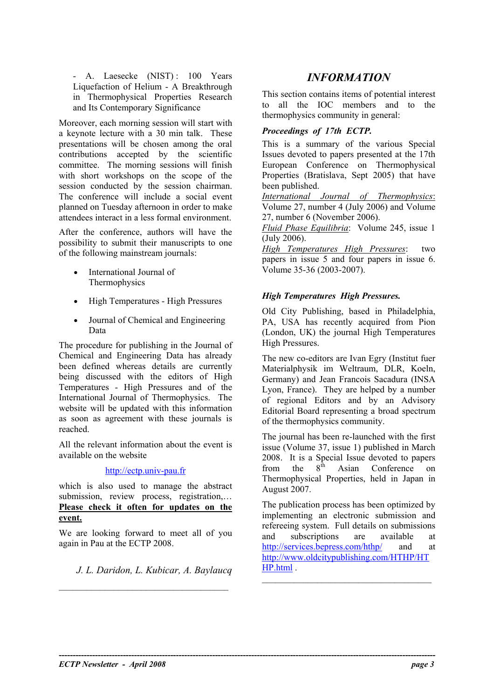- A. Laesecke (NIST): 100 Years **INFORMATION** Liquefaction of Helium - A Breakthrough in Thermophysical Properties Research and Its Contemporary Significance

thermophysics community in general:<br>Moreover, each morning session will start with a keynote lecture with a 30 min talk. These presentations will be chosen among the oral contributions accepted by the scientific committee. The morning sessions will finish with short workshops on the scope of the session conducted by the session chairman. The conference will include a social event planned on Tuesday afternoon in order to make attendees interact in a less formal environment.

After the conference, authors will have the  $\frac{H \cdot U \cdot U}{U \cdot U}$  (July 2006). possibility to submit their manuscripts to one of the following mainstream journals: *High Temperatures High Pressures*: two

- Thermophysics
- *High Temperatures High Pressures.*  High Temperatures High Pressures
- Journal of Chemical and Engineering Data

The procedure for publishing in the Journal of Chemical and Engineering Data has already been defined whereas details are currently being discussed with the editors of High Temperatures - High Pressures and of the International Journal of Thermophysics. The website will be updated with this information as soon as agreement with these journals is reached.

All the relevant information about the event is available on the website

### [http://ectp.univ-pau.fr](http://ectp.univ-pau.fr/)

which is also used to manage the abstract submission, review process, registration,... **Please check it often for updates on the event.**

We are looking forward to meet all of you again in Pau at the ECTP 2008.

*J. L. Daridon, L. Kubicar, A. Baylaucq* \_\_\_\_\_\_\_\_\_\_\_\_\_\_\_\_\_\_\_\_\_\_\_\_\_\_\_\_\_\_\_\_\_\_\_\_\_ \_\_\_\_\_\_\_\_\_\_\_\_\_\_\_\_\_\_\_\_\_\_\_\_\_\_\_\_\_\_\_\_\_\_\_\_\_

This section contains items of potential interest to all the IOC members and to the

### *Proceedings of 17th ECTP.*

This is a summary of the various Special Issues devoted to papers presented at the 17th European Conference on Thermophysical Properties (Bratislava, Sept 2005) that have been published.

*International Journal of Thermophysics*: Volume 27, number 4 (July 2006) and Volume 27, number 6 (November 2006).

*Fluid Phase Equilibria*: Volume 245, issue 1

papers in issue 5 and four papers in issue 6. • International Journal of Volume 35-36 (2003-2007).

Old City Publishing, based in Philadelphia, PA, USA has recently acquired from Pion (London, UK) the journal High Temperatures High Pressures.

The new co-editors are Ivan Egry (Institut fuer Materialphysik im Weltraum, DLR, Koeln, Germany) and Jean Francois Sacadura (INSA Lyon, France). They are helped by a number of regional Editors and by an Advisory Editorial Board representing a broad spectrum of the thermophysics community.

The journal has been re-launched with the first issue (Volume 37, issue 1) published in March 2008. It is a Special Issue devoted to papers<br>from the  $8<sup>th</sup>$  Asian Conference on from the  $8<sup>th</sup>$  Asian Conference on Thermophysical Properties, held in Japan in August 2007.

The publication process has been optimized by implementing an electronic submission and refereeing system. Full details on submissions and subscriptions are available at <http://services.bepress.com/hthp/> and at [http://www.oldcitypublishing.com/HTHP/HT](http://www.oldcitypublishing.com/HTHP/HTHP.html) [HP.html](http://www.oldcitypublishing.com/HTHP/HTHP.html) .